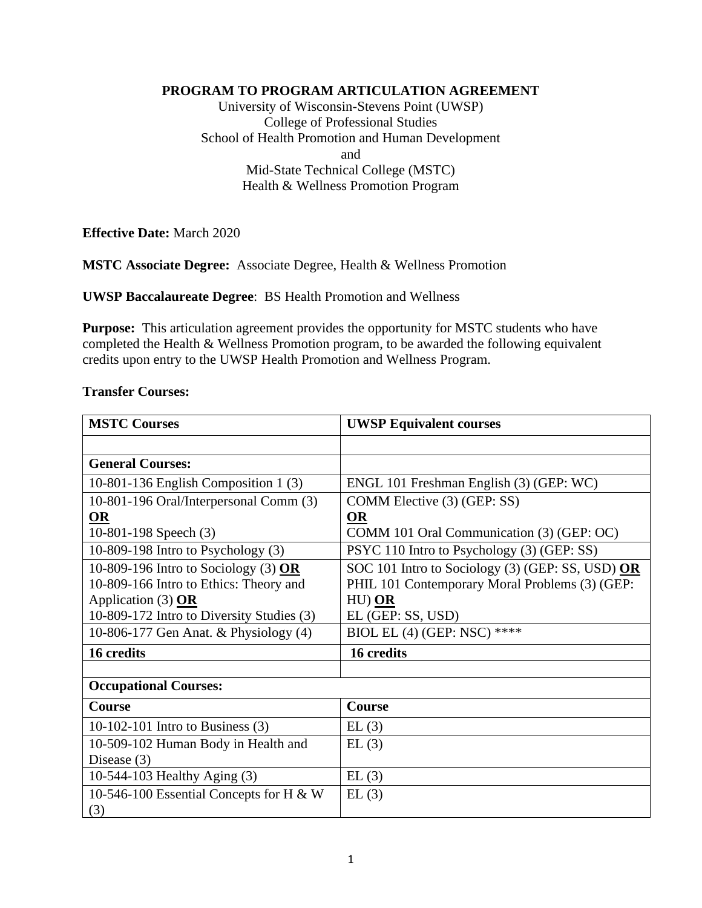## **PROGRAM TO PROGRAM ARTICULATION AGREEMENT**

University of Wisconsin-Stevens Point (UWSP) College of Professional Studies School of Health Promotion and Human Development and Mid-State Technical College (MSTC) Health & Wellness Promotion Program

**Effective Date:** March 2020

**MSTC Associate Degree:** Associate Degree, Health & Wellness Promotion

**UWSP Baccalaureate Degree**: BS Health Promotion and Wellness

**Purpose:** This articulation agreement provides the opportunity for MSTC students who have completed the Health & Wellness Promotion program, to be awarded the following equivalent credits upon entry to the UWSP Health Promotion and Wellness Program.

#### **Transfer Courses:**

| <b>MSTC Courses</b>                       | <b>UWSP Equivalent courses</b>                   |
|-------------------------------------------|--------------------------------------------------|
|                                           |                                                  |
| <b>General Courses:</b>                   |                                                  |
| 10-801-136 English Composition 1 (3)      | ENGL 101 Freshman English (3) (GEP: WC)          |
| 10-801-196 Oral/Interpersonal Comm (3)    | COMM Elective (3) (GEP: SS)                      |
| OR                                        | <b>OR</b>                                        |
| 10-801-198 Speech (3)                     | COMM 101 Oral Communication (3) (GEP: OC)        |
| 10-809-198 Intro to Psychology $(3)$      | PSYC 110 Intro to Psychology (3) (GEP: SS)       |
| 10-809-196 Intro to Sociology (3) $OR$    | SOC 101 Intro to Sociology (3) (GEP: SS, USD) OR |
| 10-809-166 Intro to Ethics: Theory and    | PHIL 101 Contemporary Moral Problems (3) (GEP:   |
| Application $(3)$ OR                      | $HU)$ $OR$                                       |
| 10-809-172 Intro to Diversity Studies (3) | EL (GEP: SS, USD)                                |
| 10-806-177 Gen Anat. & Physiology (4)     | BIOL EL (4) (GEP: NSC) ****                      |
| 16 credits                                | 16 credits                                       |
|                                           |                                                  |
| <b>Occupational Courses:</b>              |                                                  |
| Course                                    | Course                                           |
| 10-102-101 Intro to Business $(3)$        | EL(3)                                            |
| 10-509-102 Human Body in Health and       | EL(3)                                            |
| Disease $(3)$                             |                                                  |
| 10-544-103 Healthy Aging (3)              | EL(3)                                            |
| 10-546-100 Essential Concepts for H & W   | EL(3)                                            |
| (3)                                       |                                                  |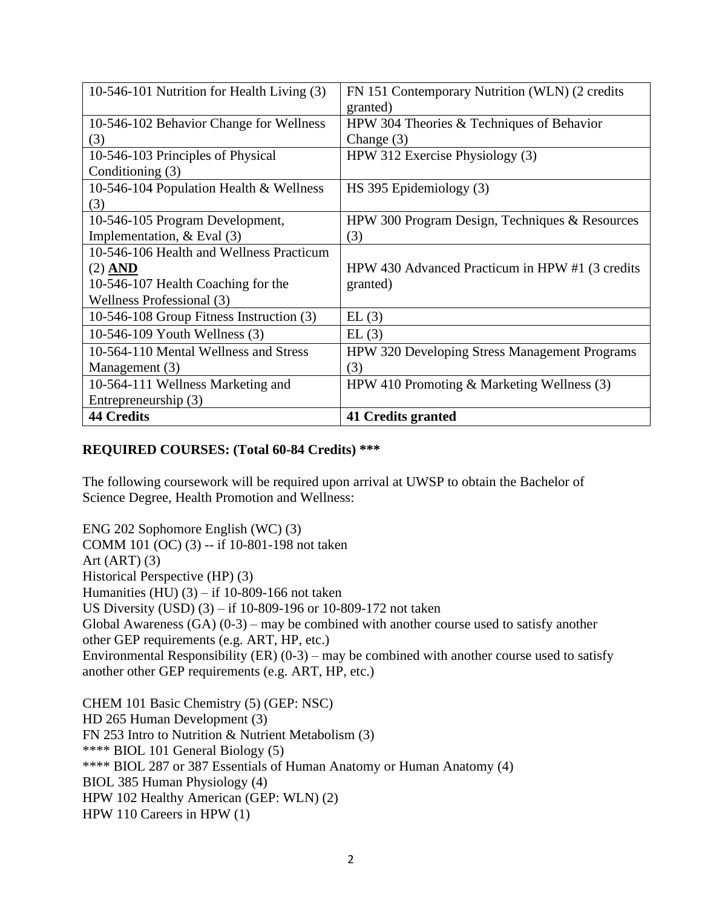| 10-546-101 Nutrition for Health Living (3) | FN 151 Contemporary Nutrition (WLN) (2 credits<br>granted) |
|--------------------------------------------|------------------------------------------------------------|
| 10-546-102 Behavior Change for Wellness    | HPW 304 Theories & Techniques of Behavior                  |
| (3)                                        | Change $(3)$                                               |
| 10-546-103 Principles of Physical          | HPW 312 Exercise Physiology (3)                            |
| Conditioning (3)                           |                                                            |
| 10-546-104 Population Health & Wellness    | HS 395 Epidemiology (3)                                    |
| (3)                                        |                                                            |
| 10-546-105 Program Development,            | HPW 300 Program Design, Techniques & Resources             |
| Implementation, $&$ Eval $(3)$             | (3)                                                        |
| 10-546-106 Health and Wellness Practicum   |                                                            |
| $(2)$ AND                                  | HPW 430 Advanced Practicum in HPW #1 (3 credits            |
| 10-546-107 Health Coaching for the         | granted)                                                   |
| Wellness Professional (3)                  |                                                            |
| 10-546-108 Group Fitness Instruction (3)   | EL(3)                                                      |
| 10-546-109 Youth Wellness (3)              | EL(3)                                                      |
| 10-564-110 Mental Wellness and Stress      | HPW 320 Developing Stress Management Programs              |
| Management (3)                             | (3)                                                        |
| 10-564-111 Wellness Marketing and          | HPW 410 Promoting $&$ Marketing Wellness (3)               |
| Entrepreneurship (3)                       |                                                            |
| <b>44 Credits</b>                          | 41 Credits granted                                         |

# **REQUIRED COURSES: (Total 60-84 Credits) \*\*\***

The following coursework will be required upon arrival at UWSP to obtain the Bachelor of Science Degree, Health Promotion and Wellness:

ENG 202 Sophomore English (WC) (3) COMM 101 (OC) (3) -- if 10-801-198 not taken Art  $(ART)$   $(3)$ Historical Perspective (HP) (3) Humanities (HU)  $(3)$  – if 10-809-166 not taken US Diversity (USD) (3) – if 10-809-196 or 10-809-172 not taken Global Awareness  $(GA)$   $(0-3)$  – may be combined with another course used to satisfy another other GEP requirements (e.g. ART, HP, etc.) Environmental Responsibility (ER)  $(0-3)$  – may be combined with another course used to satisfy another other GEP requirements (e.g. ART, HP, etc.)

CHEM 101 Basic Chemistry (5) (GEP: NSC) HD 265 Human Development (3) FN 253 Intro to Nutrition & Nutrient Metabolism (3) \*\*\*\* BIOL 101 General Biology (5) \*\*\*\* BIOL 287 or 387 Essentials of Human Anatomy or Human Anatomy (4) BIOL 385 Human Physiology (4) HPW 102 Healthy American (GEP: WLN) (2) HPW 110 Careers in HPW (1)